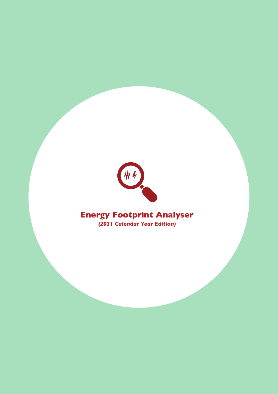

## **Energy Footprint Analyser** *(2021 Calendar Year Edition)*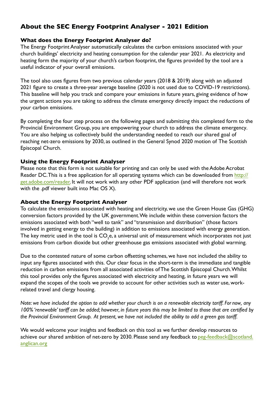## **About the SEC Energy Footprint Analyser - 2021 Edition**

### **What does the Energy Footprint Analyser do?**

The Energy Footprint Analyser automatically calculates the carbon emissions associated with your church buildings' electricity and heating consumption for the calendar year 2021. As electricity and heating form the majority of your church's carbon footprint, the figures provided by the tool are a useful indicator of your overall emissions.

The tool also uses figures from two previous calendar years (2018 & 2019) along with an adjusted 2021 figure to create a three-year average baseline (2020 is not used due to COVID-19 restrictions). This baseline will help you track and compare your emissions in future years, giving evidence of how the urgent actions you are taking to address the climate emergency directly impact the reductions of your carbon emissions.

By completing the four step process on the following pages and submitting this completed form to the Provincial Environment Group, you are empowering your church to address the climate emergency. You are also helping us collectively build the understanding needed to reach our shared goal of reaching net-zero emissions by 2030, as outlined in the General Synod 2020 motion of The Scottish Episcopal Church.

### **Using the Energy Footprint Analyser**

Please note that this form is not suitable for printing and can only be used with the Adobe Acrobat Reader DC. [This is a free application for all operating systems which can be downloaded from http://](http://get.adobe.com/reader) get.adobe.com/reader. It will not work with any other PDF application (and will therefore not work with the .pdf viewer built into Mac OS X).

### **About the Energy Footprint Analyser**

To calculate the emissions associated with heating and electricity, we use the Green House Gas (GHG) conversion factors provided by the UK government. We include within these conversion factors the emissions associated with both "well to tank" and "transmission and distribution" (those factors involved in getting energy to the building) in addition to emissions associated with energy generation. The key metric used in the tool is  $\mathsf{CO}_2$ e, a universal unit of measurement which incorporates not just emissions from carbon dioxide but other greenhouse gas emissions associated with global warming.

Due to the contested nature of some carbon offsetting schemes, we have not included the ability to input any figures associated with this. Our clear focus in the short-term is the immediate and tangible reduction in carbon emissions from all associated activities of The Scottish Episcopal Church. Whilst this tool provides only the figures associated with electricity and heating, in future years we will expand the scopes of the tools we provide to account for other activities such as water use, workrelated travel and clergy housing.

*Note: we have included the option to add whether your church is on a renewable electricity tariff. For now, any 100% 'renewable' tariff can be added; however, in future years this may be limited to those that are certified by the Provincial Environment Group. At present, we have not included the ability to add a green gas tariff.*

We would welcome your insights and feedback on this tool as we further develop resources to achieve our shared ambition of net-zero by 2030. Please send any feedback to peg-feedback@scotland. anglican.org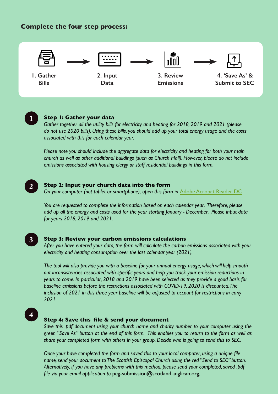### **Complete the four step process:**



**1. Gather Bills**

**2. Input Data**

**3. Review Emissions**

**4. 'Save As' & Submit to SEC**

#### **Step 1: Gather your data 1**

*Gather together all the utility bills for electricity and heating for 2018, 2019 and 2021 (please do not use 2020 bills). Using these bills, you should add up your total energy usage and the costs associated with this for each calendar year.* 

*Please note you should include the aggregate data for electricity and heating for both your main church as well as other additional buildings (such as Church Hall). However, please do not include emissions associated with housing clergy or staff residential buildings in this form.* 

#### **Step 2: Input your church data into the form 2**

*On your computer (not tablet or smartphone), open this form in* [Adobe Acrobat Reader DC](http://get.adobe.com/reader) *.* 

*You are requested to complete the information based on each calendar year. Therefore, please add up all the energy and costs used for the year starting January - December. Please input data for years 2018, 2019 and 2021.*



#### **Step 3: Review your carbon emissions calculations**

*After you have entered your data, the form will calculate the carbon emissions associated with your electricity and heating consumption over the last calendar year (2021).*

*The tool will also provide you with a baseline for your annual energy usage, which will help smooth out inconsistencies associated with specific years and help you track your emission reductions in years to come. In particular, 2018 and 2019 have been selected as they provide a good basis for baseline emissions before the restrictions associated with COVID-19. 2020 is discounted. The inclusion of 2021 in this three year baseline will be adjusted to account for restrictions in early 2021.*



#### **Step 4: Save this file & send your document**

*Save this .pdf document using your church name and charity number to your computer using the green "Save As" button at the end of this form. This enables you to return to the form as well as share your completed form with others in your group. Decide who is going to send this to SEC.*

*Once your have completed the form and saved this to your local computer, using a unique file name, send your document to The Scottish Episcopal Church using the red "Send to SEC" button. Alternatively, if you have any problems with this method, please send your completed, saved .pdf file via your email application to* peg-submission@scotland.anglican.org*.*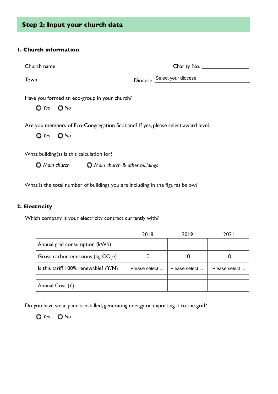# **Step 2: Input your church data**

### **1. Church information**

| Church name                                                                                              | Charity No.                 |
|----------------------------------------------------------------------------------------------------------|-----------------------------|
| Town                                                                                                     | Diocese Select your diocese |
| Have you formed an eco-group in your church?<br>Yes $\bigcirc$ No                                        |                             |
| Are you members of Eco-Congregation Scotland? If yes, please select award level.<br>$\bigcirc$ No<br>Yes |                             |
| What building(s) is this calculation for?<br>Main church<br><b>Main church</b> & other buildings         |                             |

What is the total number of buildings you are including in the figures below?

#### **2. Electricity**

Which company is your electricity contract currently with? \_\_\_\_\_\_\_\_\_\_\_\_\_\_\_\_\_\_\_\_\_

|                                               | 2018          | 2019          | 202 I         |
|-----------------------------------------------|---------------|---------------|---------------|
| Annual grid consumption (kWh)                 |               |               |               |
| Gross carbon emissions (kg CO <sub>2</sub> e) |               |               |               |
| Is this tariff $100\%$ renewable? ( $Y/N$ )   | Please select | Please select | Please select |
|                                               |               |               |               |
| Annual Cost $(E)$                             |               |               |               |

Do you have solar panels installed, generating energy or exporting it to the grid?

*Yes No*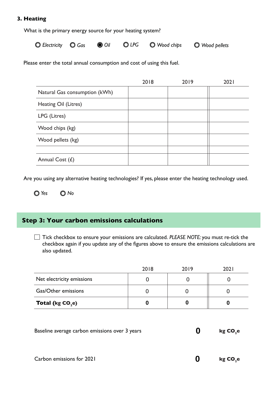#### **3. Heating**

What is the primary energy source for your heating system?

*Electricity Gas Oil LPG Wood chips Wood pellets*

Please enter the total annual consumption and cost of using this fuel.

|                               | 2018 | 2019 | 2021 |
|-------------------------------|------|------|------|
| Natural Gas consumption (kWh) |      |      |      |
| Heating Oil (Litres)          |      |      |      |
| LPG (Litres)                  |      |      |      |
| Wood chips (kg)               |      |      |      |
| Wood pellets (kg)             |      |      |      |
|                               |      |      |      |
| Annual Cost $(E)$             |      |      |      |

Are you using any alternative heating technologies? If yes, please enter the heating technology used.

*Yes No*

### **Step 3: Your carbon emissions calculations**

Tick checkbox to ensure your emissions are calculated. *PLEASE NOTE:* you must re-tick the checkbox again if you update any of the figures above to ensure the emissions calculations are also updated.

|                                   | 2018 | 2019 | 202 I |
|-----------------------------------|------|------|-------|
| Net electricity emissions         |      |      |       |
| Gas/Other emissions               |      |      |       |
| <b>Total (kg CO<sub>2</sub>e)</b> |      |      |       |

| Baseline average carbon emissions over 3 years | kg CO <sub>,</sub> e |
|------------------------------------------------|----------------------|
|                                                |                      |

**0**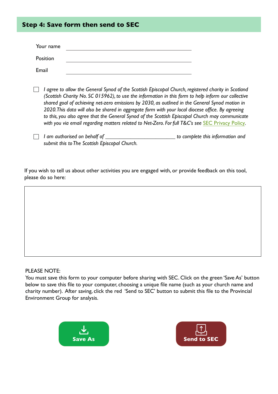## **Step 4: Save form then send to SEC**

| Your name |  |
|-----------|--|
| Position  |  |
| Email     |  |

- *I agree to allow the General Synod of the Scottish Episcopal Church, registered charity in Scotland (Scottish Charity No. SC 015962), to use the information in this form to help inform our collective shared goal of achieving net-zero emissions by 2030, as outlined in the General Synod motion in 2020. This data will also be shared in aggregate form with your local diocese office. By agreeing to this, you also agree that the General Synod of the Scottish Episcopal Church may communicate*  with you via email regarding matters related to Net-Zero. For full T&C's see **[SEC Privacy Policy](https://www.scotland.anglican.org/privacy-policy/)**.
- *I am authorised on behalf of \_\_\_\_\_\_\_\_\_\_\_\_\_\_\_\_\_\_\_\_\_\_\_\_\_ to complete this information and submit this to The Scottish Episcopal Church.*

If you wish to tell us about other activities you are engaged with, or provide feedback on this tool, please do so here:

#### PLEASE NOTE:

You must save this form to your computer before sharing with SEC. Click on the green 'Save As' button below to save this file to your computer, choosing a unique file name (such as your church name and charity number). After saving, click the red 'Send to SEC' button to submit this file to the Provincial Environment Group for analysis.